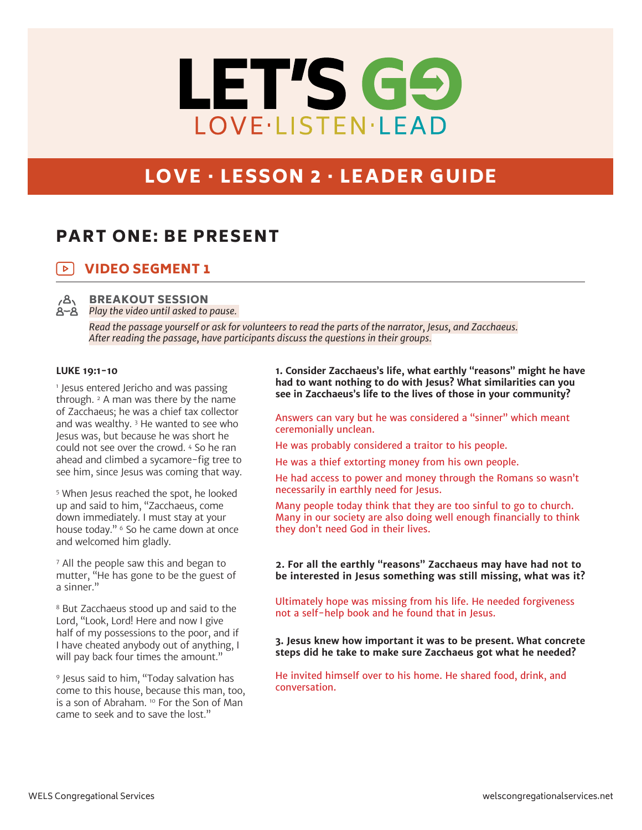# LET'S GO LOVE·LISTEN·LEAD

# LOVE · LESSON 2 · LEADER GUIDE

# PART ONE: BE PRESENT

#### VIDEO SEGMENT 1  $\triangleright$



BREAKOUT SESSION *Play the video until asked to pause.* 

> *Read the passage yourself or ask for volunteers to read the parts of the narrator, Jesus, and Zacchaeus. After reading the passage, have participants discuss the questions in their groups.*

## **LUKE 19:1-10**

1 Jesus entered Jericho and was passing through.  $2$  A man was there by the name of Zacchaeus; he was a chief tax collector and was wealthy. 3 He wanted to see who Jesus was, but because he was short he could not see over the crowd. 4 So he ran ahead and climbed a sycamore-fig tree to see him, since Jesus was coming that way.

5 When Jesus reached the spot, he looked up and said to him, "Zacchaeus, come down immediately. I must stay at your house today." <sup>6</sup> So he came down at once and welcomed him gladly.

7 All the people saw this and began to mutter, "He has gone to be the guest of a sinner."

8 But Zacchaeus stood up and said to the Lord, "Look, Lord! Here and now I give half of my possessions to the poor, and if I have cheated anybody out of anything, I will pay back four times the amount."

9 Jesus said to him, "Today salvation has come to this house, because this man, too, is a son of Abraham. 10 For the Son of Man came to seek and to save the lost."

**1. Consider Zacchaeus's life, what earthly "reasons" might he have had to want nothing to do with Jesus? What similarities can you see in Zacchaeus's life to the lives of those in your community?**

Answers can vary but he was considered a "sinner" which meant ceremonially unclean.

He was probably considered a traitor to his people.

He was a thief extorting money from his own people.

He had access to power and money through the Romans so wasn't necessarily in earthly need for Jesus.

Many people today think that they are too sinful to go to church. Many in our society are also doing well enough financially to think they don't need God in their lives.

**2. For all the earthly "reasons" Zacchaeus may have had not to be interested in Jesus something was still missing, what was it?** 

Ultimately hope was missing from his life. He needed forgiveness not a self-help book and he found that in Jesus.

**3. Jesus knew how important it was to be present. What concrete steps did he take to make sure Zacchaeus got what he needed?**

He invited himself over to his home. He shared food, drink, and conversation.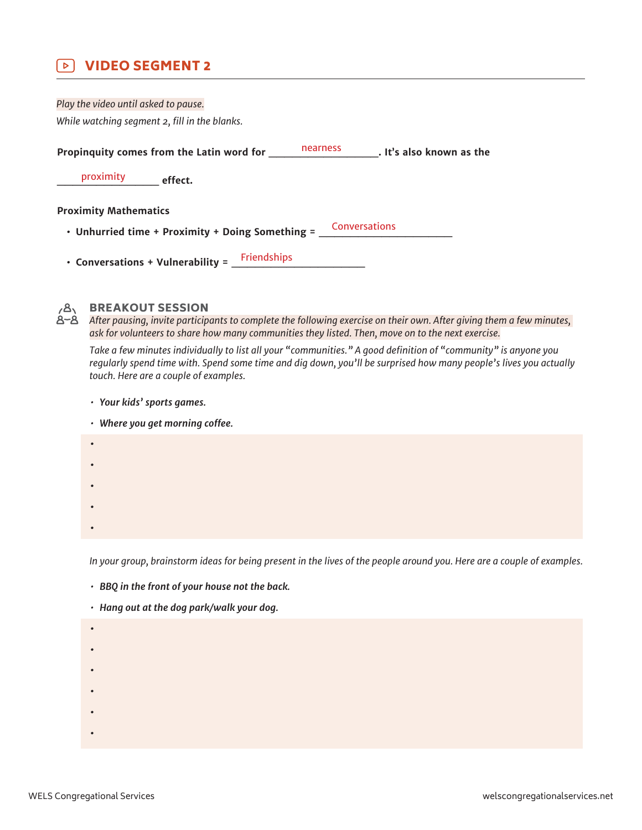#### VIDEO SEGMENT 2  $\triangleright$  1

| Play the video until asked to pause.                    |          |                          |
|---------------------------------------------------------|----------|--------------------------|
| While watching segment 2, fill in the blanks.           |          |                          |
| Propinquity comes from the Latin word for               | nearness | . It's also known as the |
| proximity<br>effect.                                    |          |                          |
| <b>Proximity Mathematics</b>                            |          |                          |
| • Unhurried time + Proximity + Doing Something =        |          | Conversations            |
| <b>Friendships</b><br>• Conversations + Vulnerability = |          |                          |



# BREAKOUT SESSION

*After pausing, invite participants to complete the following exercise on their own. After giving them a few minutes, ask for volunteers to share how many communities they listed. Then, move on to the next exercise.*

*Take a few minutes individually to list all your "communities." A good definition of "community" is anyone you regularly spend time with. Spend some time and dig down, you'll be surprised how many people's lives you actually touch. Here are a couple of examples.*

- *• Your kids' sports games.*
- *• Where you get morning coffee.* **• • • • •**

*In your group, brainstorm ideas for being present in the lives of the people around you. Here are a couple of examples.*

- *• BBQ in the front of your house not the back.*
- *• Hang out at the dog park/walk your dog.*
- **•**
- **•**
- **•**
- 
- **•**
	-
	- **• •**
-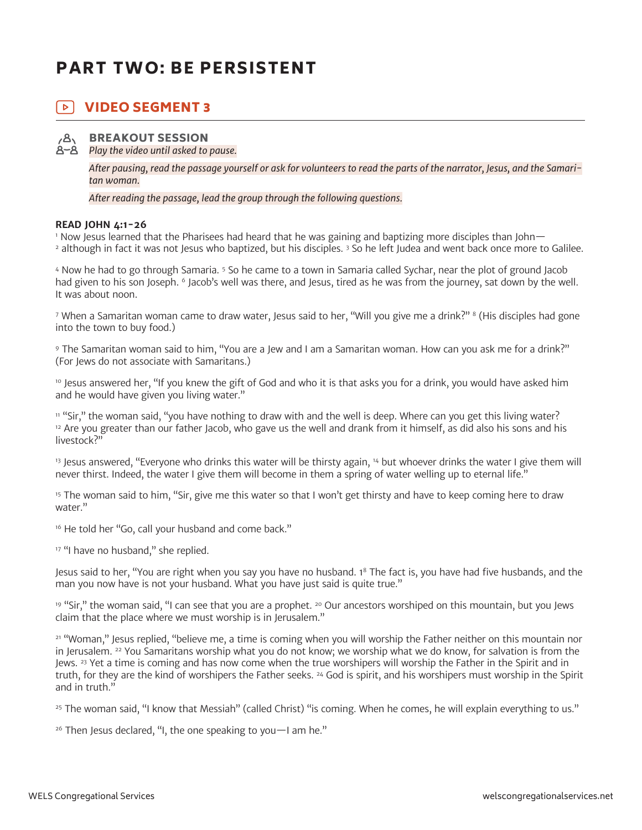# PART TWO: BE PERSISTENT

#### $\triangleright$  1 VIDEO SEGMENT 3



BREAKOUT SESSION

*Play the video until asked to pause.*

*After pausing, read the passage yourself or ask for volunteers to read the parts of the narrator, Jesus, and the Samaritan woman.*

*After reading the passage, lead the group through the following questions.*

## **READ JOHN 4:1-26**

1 Now Jesus learned that the Pharisees had heard that he was gaining and baptizing more disciples than John— 2 although in fact it was not Jesus who baptized, but his disciples. 3 So he left Judea and went back once more to Galilee.

4 Now he had to go through Samaria. 5 So he came to a town in Samaria called Sychar, near the plot of ground Jacob had given to his son Joseph. <sup>6</sup> Jacob's well was there, and Jesus, tired as he was from the journey, sat down by the well. It was about noon.

<sup>7</sup> When a Samaritan woman came to draw water, Jesus said to her, "Will you give me a drink?" <sup>8</sup> (His disciples had gone into the town to buy food.)

9 The Samaritan woman said to him, "You are a Jew and I am a Samaritan woman. How can you ask me for a drink?" (For Jews do not associate with Samaritans.)

<sup>10</sup> Jesus answered her, "If you knew the gift of God and who it is that asks you for a drink, you would have asked him and he would have given you living water."

<sup>11</sup> "Sir," the woman said, "you have nothing to draw with and the well is deep. Where can you get this living water?  $12$  Are you greater than our father Jacob, who gave us the well and drank from it himself, as did also his sons and his livestock?"

<sup>13</sup> Jesus answered, "Everyone who drinks this water will be thirsty again, <sup>14</sup> but whoever drinks the water I give them will never thirst. Indeed, the water I give them will become in them a spring of water welling up to eternal life."

<sup>15</sup> The woman said to him, "Sir, give me this water so that I won't get thirsty and have to keep coming here to draw water."

<sup>16</sup> He told her "Go, call your husband and come back."

<sup>17</sup> "I have no husband," she replied.

Jesus said to her, "You are right when you say you have no husband. 18 The fact is, you have had five husbands, and the man you now have is not your husband. What you have just said is quite true."

<sup>19</sup> "Sir," the woman said, "I can see that you are a prophet. <sup>20</sup> Our ancestors worshiped on this mountain, but you Jews claim that the place where we must worship is in Jerusalem."

<sup>21</sup> "Woman," Jesus replied, "believe me, a time is coming when you will worship the Father neither on this mountain nor in Jerusalem. 22 You Samaritans worship what you do not know; we worship what we do know, for salvation is from the Jews. <sup>23</sup> Yet a time is coming and has now come when the true worshipers will worship the Father in the Spirit and in truth, for they are the kind of worshipers the Father seeks. 24 God is spirit, and his worshipers must worship in the Spirit and in truth."

<sup>25</sup> The woman said, "I know that Messiah" (called Christ) "is coming. When he comes, he will explain everything to us."

 $26$  Then Jesus declared, "I, the one speaking to you  $-1$  am he."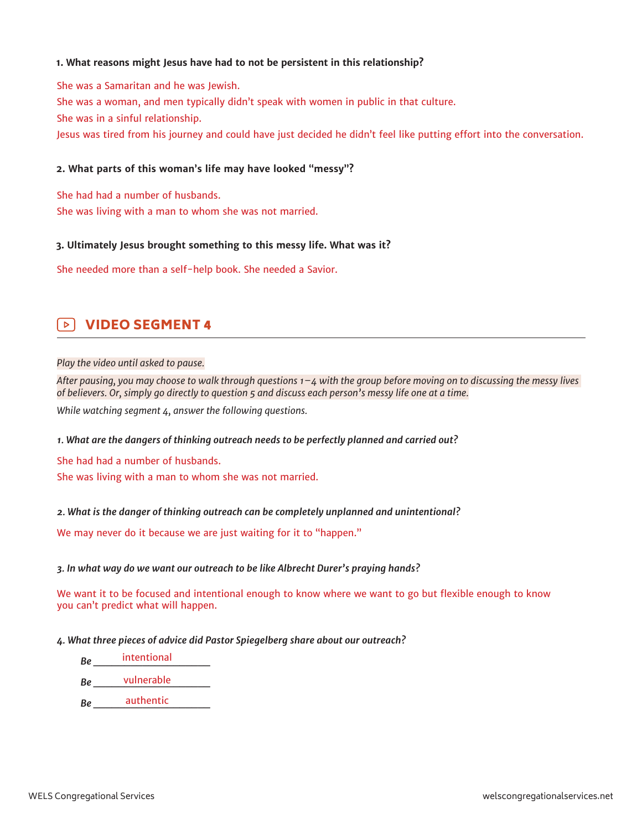## **1. What reasons might Jesus have had to not be persistent in this relationship?**

She was a Samaritan and he was Jewish. She was a woman, and men typically didn't speak with women in public in that culture. She was in a sinful relationship. Jesus was tired from his journey and could have just decided he didn't feel like putting effort into the conversation.

## **2. What parts of this woman's life may have looked "messy"?**

She had had a number of husbands. She was living with a man to whom she was not married.

## **3. Ultimately Jesus brought something to this messy life. What was it?**

She needed more than a self-help book. She needed a Savior.

#### VIDEO SEGMENT 4  $\triangleright$

#### *Play the video until asked to pause.*

*After pausing, you may choose to walk through questions 1–4 with the group before moving on to discussing the messy lives of believers. Or, simply go directly to question 5 and discuss each person's messy life one at a time.*

*While watching segment 4, answer the following questions.*

## *1. What are the dangers of thinking outreach needs to be perfectly planned and carried out?*

She had had a number of husbands. She was living with a man to whom she was not married.

## *2. What is the danger of thinking outreach can be completely unplanned and unintentional?*

We may never do it because we are just waiting for it to "happen."

## *3. In what way do we want our outreach to be like Albrecht Durer's praying hands?*

We want it to be focused and intentional enough to know where we want to go but flexible enough to know you can't predict what will happen.

## *4. What three pieces of advice did Pastor Spiegelberg share about our outreach?*

*Be \_\_\_\_\_\_\_\_\_\_\_\_\_\_\_\_\_\_\_* intentional

*Be \_\_\_\_\_\_\_\_\_\_\_\_\_\_\_\_\_\_\_* vulnerable

*Be \_\_\_\_\_\_\_\_\_\_\_\_\_\_\_\_\_\_\_* authentic